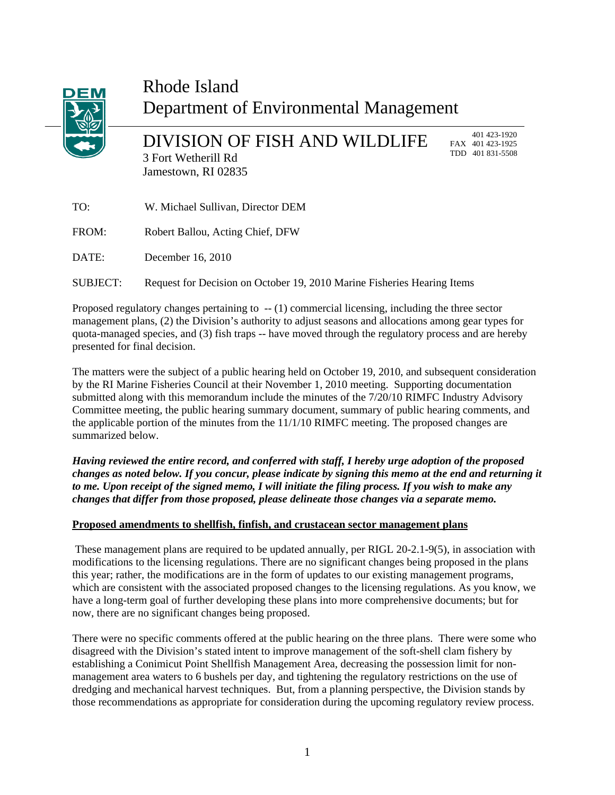

# Rhode Island Department of Environmental Management

DIVISION OF FISH AND WILDLIFE 3 Fort Wetherill Rd Jamestown, RI 02835

 401 423-1920 FAX 401 423-1925 TDD 401 831-5508

| TO:      | W. Michael Sullivan, Director DEM                                       |
|----------|-------------------------------------------------------------------------|
| FROM:    | Robert Ballou, Acting Chief, DFW                                        |
| DATE:    | December 16, 2010                                                       |
| SUBJECT: | Request for Decision on October 19, 2010 Marine Fisheries Hearing Items |

Proposed regulatory changes pertaining to -- (1) commercial licensing, including the three sector management plans, (2) the Division's authority to adjust seasons and allocations among gear types for quota-managed species, and (3) fish traps -- have moved through the regulatory process and are hereby presented for final decision.

The matters were the subject of a public hearing held on October 19, 2010, and subsequent consideration by the RI Marine Fisheries Council at their November 1, 2010 meeting. Supporting documentation submitted along with this memorandum include the minutes of the 7/20/10 RIMFC Industry Advisory Committee meeting, the public hearing summary document, summary of public hearing comments, and the applicable portion of the minutes from the 11/1/10 RIMFC meeting. The proposed changes are summarized below.

*Having reviewed the entire record, and conferred with staff, I hereby urge adoption of the proposed changes as noted below. If you concur, please indicate by signing this memo at the end and returning it to me. Upon receipt of the signed memo, I will initiate the filing process. If you wish to make any changes that differ from those proposed, please delineate those changes via a separate memo.* 

### **Proposed amendments to shellfish, finfish, and crustacean sector management plans**

These management plans are required to be updated annually, per RIGL 20-2.1-9(5), in association with modifications to the licensing regulations. There are no significant changes being proposed in the plans this year; rather, the modifications are in the form of updates to our existing management programs, which are consistent with the associated proposed changes to the licensing regulations. As you know, we have a long-term goal of further developing these plans into more comprehensive documents; but for now, there are no significant changes being proposed.

There were no specific comments offered at the public hearing on the three plans. There were some who disagreed with the Division's stated intent to improve management of the soft-shell clam fishery by establishing a Conimicut Point Shellfish Management Area, decreasing the possession limit for nonmanagement area waters to 6 bushels per day, and tightening the regulatory restrictions on the use of dredging and mechanical harvest techniques. But, from a planning perspective, the Division stands by those recommendations as appropriate for consideration during the upcoming regulatory review process.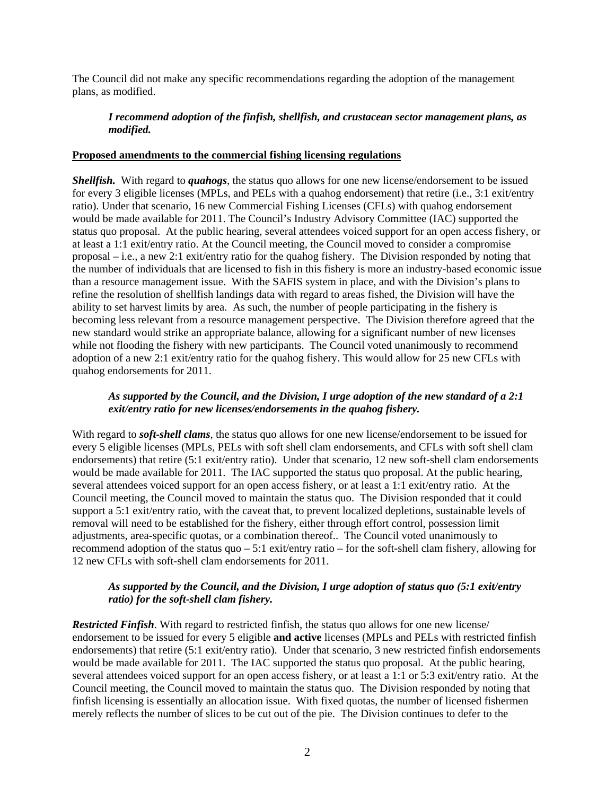The Council did not make any specific recommendations regarding the adoption of the management plans, as modified.

## *I recommend adoption of the finfish, shellfish, and crustacean sector management plans, as modified.*

#### **Proposed amendments to the commercial fishing licensing regulations**

*Shellfish.* With regard to *quahogs*, the status quo allows for one new license/endorsement to be issued for every 3 eligible licenses (MPLs, and PELs with a quahog endorsement) that retire (i.e., 3:1 exit/entry ratio). Under that scenario, 16 new Commercial Fishing Licenses (CFLs) with quahog endorsement would be made available for 2011. The Council's Industry Advisory Committee (IAC) supported the status quo proposal. At the public hearing, several attendees voiced support for an open access fishery, or at least a 1:1 exit/entry ratio. At the Council meeting, the Council moved to consider a compromise proposal – i.e., a new 2:1 exit/entry ratio for the quahog fishery. The Division responded by noting that the number of individuals that are licensed to fish in this fishery is more an industry-based economic issue than a resource management issue. With the SAFIS system in place, and with the Division's plans to refine the resolution of shellfish landings data with regard to areas fished, the Division will have the ability to set harvest limits by area. As such, the number of people participating in the fishery is becoming less relevant from a resource management perspective. The Division therefore agreed that the new standard would strike an appropriate balance, allowing for a significant number of new licenses while not flooding the fishery with new participants. The Council voted unanimously to recommend adoption of a new 2:1 exit/entry ratio for the quahog fishery. This would allow for 25 new CFLs with quahog endorsements for 2011.

#### *As supported by the Council, and the Division, I urge adoption of the new standard of a 2:1 exit/entry ratio for new licenses/endorsements in the quahog fishery.*

With regard to *soft-shell clams*, the status quo allows for one new license/endorsement to be issued for every 5 eligible licenses (MPLs, PELs with soft shell clam endorsements, and CFLs with soft shell clam endorsements) that retire (5:1 exit/entry ratio). Under that scenario, 12 new soft-shell clam endorsements would be made available for 2011. The IAC supported the status quo proposal. At the public hearing, several attendees voiced support for an open access fishery, or at least a 1:1 exit/entry ratio. At the Council meeting, the Council moved to maintain the status quo. The Division responded that it could support a 5:1 exit/entry ratio, with the caveat that, to prevent localized depletions, sustainable levels of removal will need to be established for the fishery, either through effort control, possession limit adjustments, area-specific quotas, or a combination thereof.. The Council voted unanimously to recommend adoption of the status quo – 5:1 exit/entry ratio – for the soft-shell clam fishery, allowing for 12 new CFLs with soft-shell clam endorsements for 2011.

#### *As supported by the Council, and the Division, I urge adoption of status quo (5:1 exit/entry ratio) for the soft-shell clam fishery.*

*Restricted Finfish*. With regard to restricted finfish, the status quo allows for one new license/ endorsement to be issued for every 5 eligible **and active** licenses (MPLs and PELs with restricted finfish endorsements) that retire (5:1 exit/entry ratio). Under that scenario, 3 new restricted finfish endorsements would be made available for 2011. The IAC supported the status quo proposal. At the public hearing, several attendees voiced support for an open access fishery, or at least a 1:1 or 5:3 exit/entry ratio. At the Council meeting, the Council moved to maintain the status quo. The Division responded by noting that finfish licensing is essentially an allocation issue. With fixed quotas, the number of licensed fishermen merely reflects the number of slices to be cut out of the pie. The Division continues to defer to the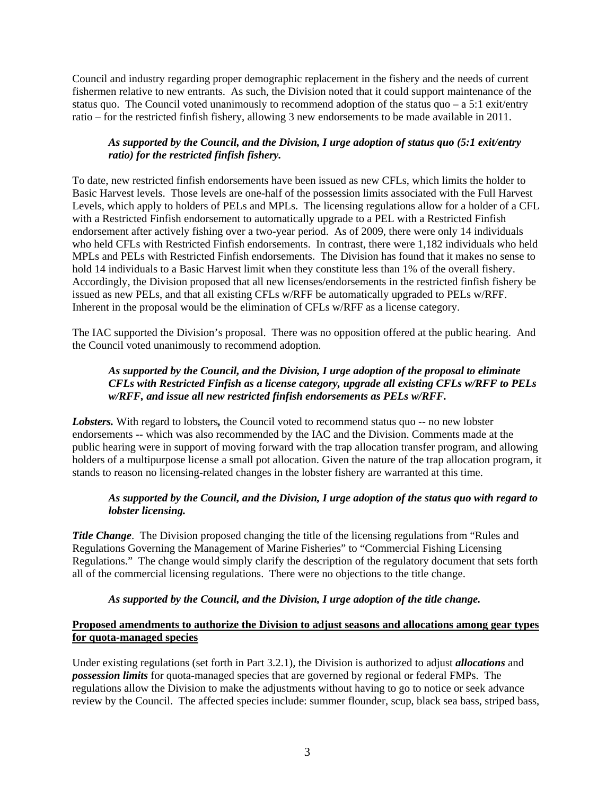Council and industry regarding proper demographic replacement in the fishery and the needs of current fishermen relative to new entrants. As such, the Division noted that it could support maintenance of the status quo. The Council voted unanimously to recommend adoption of the status quo – a 5:1 exit/entry ratio – for the restricted finfish fishery, allowing 3 new endorsements to be made available in 2011.

# *As supported by the Council, and the Division, I urge adoption of status quo (5:1 exit/entry ratio) for the restricted finfish fishery.*

To date, new restricted finfish endorsements have been issued as new CFLs, which limits the holder to Basic Harvest levels. Those levels are one-half of the possession limits associated with the Full Harvest Levels, which apply to holders of PELs and MPLs. The licensing regulations allow for a holder of a CFL with a Restricted Finfish endorsement to automatically upgrade to a PEL with a Restricted Finfish endorsement after actively fishing over a two-year period. As of 2009, there were only 14 individuals who held CFLs with Restricted Finfish endorsements. In contrast, there were 1,182 individuals who held MPLs and PELs with Restricted Finfish endorsements. The Division has found that it makes no sense to hold 14 individuals to a Basic Harvest limit when they constitute less than 1% of the overall fishery. Accordingly, the Division proposed that all new licenses/endorsements in the restricted finfish fishery be issued as new PELs, and that all existing CFLs w/RFF be automatically upgraded to PELs w/RFF. Inherent in the proposal would be the elimination of CFLs w/RFF as a license category.

The IAC supported the Division's proposal. There was no opposition offered at the public hearing. And the Council voted unanimously to recommend adoption.

# *As supported by the Council, and the Division, I urge adoption of the proposal to eliminate CFLs with Restricted Finfish as a license category, upgrade all existing CFLs w/RFF to PELs w/RFF, and issue all new restricted finfish endorsements as PELs w/RFF.*

*Lobsters.* With regard to lobsters*,* the Council voted to recommend status quo -- no new lobster endorsements -- which was also recommended by the IAC and the Division. Comments made at the public hearing were in support of moving forward with the trap allocation transfer program, and allowing holders of a multipurpose license a small pot allocation. Given the nature of the trap allocation program, it stands to reason no licensing-related changes in the lobster fishery are warranted at this time.

# *As supported by the Council, and the Division, I urge adoption of the status quo with regard to lobster licensing.*

*Title Change.* The Division proposed changing the title of the licensing regulations from "Rules and Regulations Governing the Management of Marine Fisheries" to "Commercial Fishing Licensing Regulations." The change would simply clarify the description of the regulatory document that sets forth all of the commercial licensing regulations. There were no objections to the title change.

### *As supported by the Council, and the Division, I urge adoption of the title change.*

## **Proposed amendments to authorize the Division to adjust seasons and allocations among gear types for quota-managed species**

Under existing regulations (set forth in Part 3.2.1), the Division is authorized to adjust *allocations* and *possession limits* for quota-managed species that are governed by regional or federal FMPs. The regulations allow the Division to make the adjustments without having to go to notice or seek advance review by the Council. The affected species include: summer flounder, scup, black sea bass, striped bass,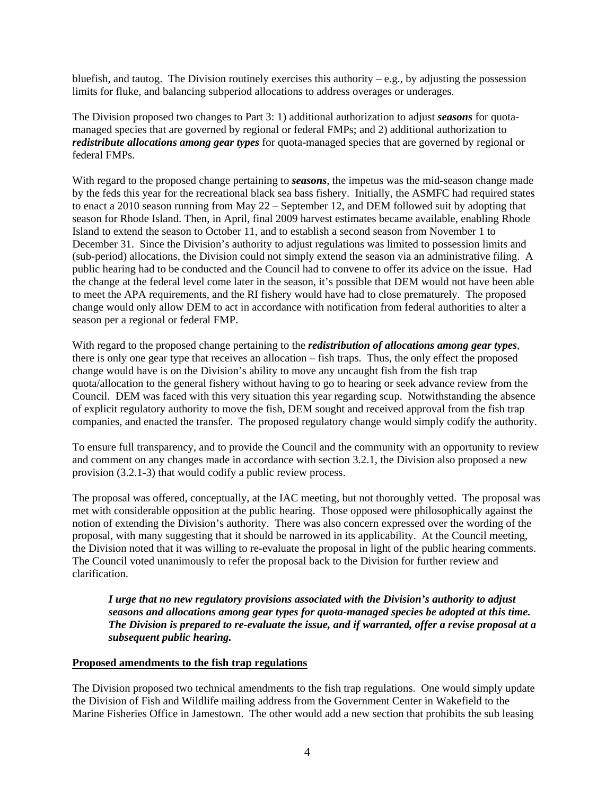bluefish, and tautog. The Division routinely exercises this authority – e.g., by adjusting the possession limits for fluke, and balancing subperiod allocations to address overages or underages.

The Division proposed two changes to Part 3: 1) additional authorization to adjust *seasons* for quotamanaged species that are governed by regional or federal FMPs; and 2) additional authorization to *redistribute allocations among gear types* for quota-managed species that are governed by regional or federal FMPs.

With regard to the proposed change pertaining to *seasons*, the impetus was the mid-season change made by the feds this year for the recreational black sea bass fishery. Initially, the ASMFC had required states to enact a 2010 season running from May 22 – September 12, and DEM followed suit by adopting that season for Rhode Island. Then, in April, final 2009 harvest estimates became available, enabling Rhode Island to extend the season to October 11, and to establish a second season from November 1 to December 31. Since the Division's authority to adjust regulations was limited to possession limits and (sub-period) allocations, the Division could not simply extend the season via an administrative filing. A public hearing had to be conducted and the Council had to convene to offer its advice on the issue. Had the change at the federal level come later in the season, it's possible that DEM would not have been able to meet the APA requirements, and the RI fishery would have had to close prematurely. The proposed change would only allow DEM to act in accordance with notification from federal authorities to alter a season per a regional or federal FMP.

With regard to the proposed change pertaining to the *redistribution of allocations among gear types*, there is only one gear type that receives an allocation – fish traps. Thus, the only effect the proposed change would have is on the Division's ability to move any uncaught fish from the fish trap quota/allocation to the general fishery without having to go to hearing or seek advance review from the Council. DEM was faced with this very situation this year regarding scup. Notwithstanding the absence of explicit regulatory authority to move the fish, DEM sought and received approval from the fish trap companies, and enacted the transfer. The proposed regulatory change would simply codify the authority.

To ensure full transparency, and to provide the Council and the community with an opportunity to review and comment on any changes made in accordance with section 3.2.1, the Division also proposed a new provision (3.2.1-3) that would codify a public review process.

The proposal was offered, conceptually, at the IAC meeting, but not thoroughly vetted. The proposal was met with considerable opposition at the public hearing. Those opposed were philosophically against the notion of extending the Division's authority. There was also concern expressed over the wording of the proposal, with many suggesting that it should be narrowed in its applicability. At the Council meeting, the Division noted that it was willing to re-evaluate the proposal in light of the public hearing comments. The Council voted unanimously to refer the proposal back to the Division for further review and clarification.

*I urge that no new regulatory provisions associated with the Division's authority to adjust seasons and allocations among gear types for quota-managed species be adopted at this time. The Division is prepared to re-evaluate the issue, and if warranted, offer a revise proposal at a subsequent public hearing.* 

### **Proposed amendments to the fish trap regulations**

The Division proposed two technical amendments to the fish trap regulations. One would simply update the Division of Fish and Wildlife mailing address from the Government Center in Wakefield to the Marine Fisheries Office in Jamestown. The other would add a new section that prohibits the sub leasing